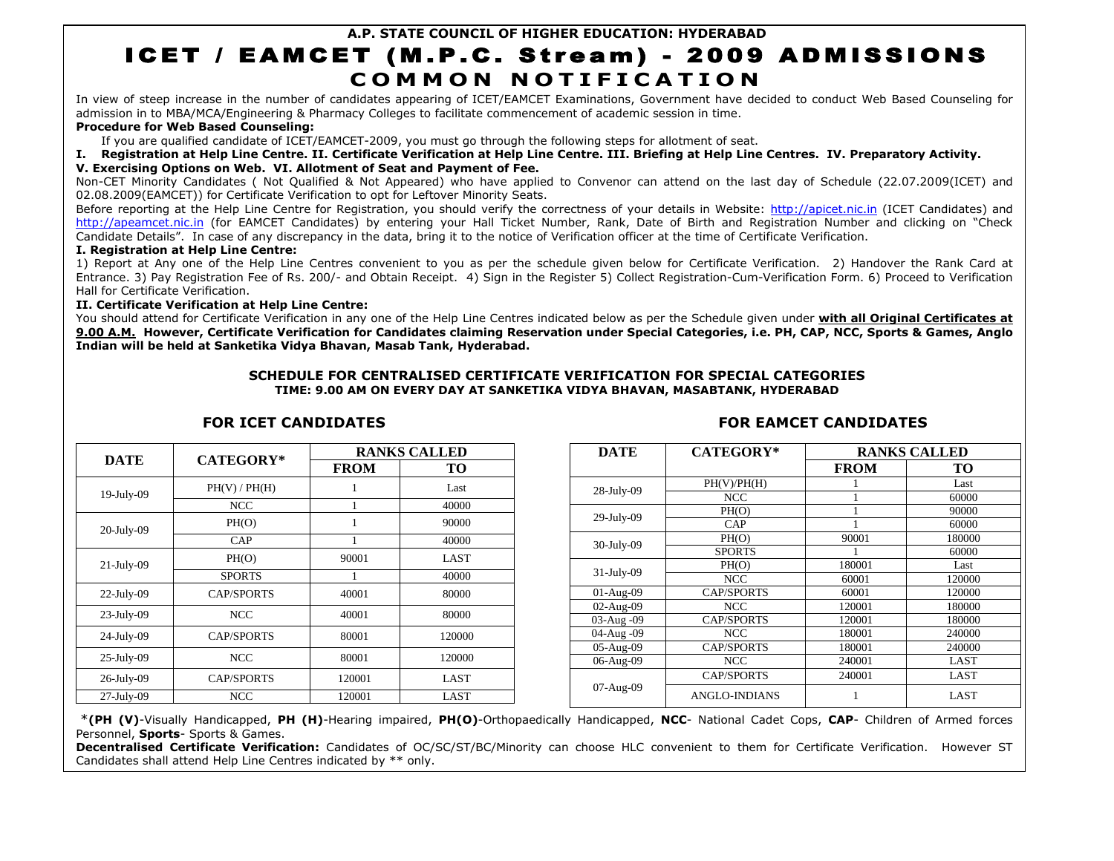# **A.P. STATE COUNCIL OF HIGHER EDUCATION: HYDERABAD** ICET / EAMCET (M.P.C. Stream) - 2009 ADMISSIONS **C O M M O N N O T I F I C A T I O N**

In view of steep increase in the number of candidates appearing of ICET/EAMCET Examinations, Government have decided to conduct Web Based Counseling for admission in to MBA/MCA/Engineering & Pharmacy Colleges to facilitate commencement of academic session in time.

# **Procedure for Web Based Counseling:**

If you are qualified candidate of ICET/EAMCET-2009, you must go through the following steps for allotment of seat.

# **I. Registration at Help Line Centre. II. Certificate Verification at Help Line Centre. III. Briefing at Help Line Centres. IV. Preparatory Activity.**

# **V. Exercising Options on Web. VI. Allotment of Seat and Payment of Fee.**

Non-CET Minority Candidates ( Not Qualified & Not Appeared) who have applied to Convenor can attend on the last day of Schedule (22.07.2009(ICET) and 02.08.2009(EAMCET)) for Certificate Verification to opt for Leftover Minority Seats.

Before reporting at the Help Line Centre for Registration, you should verify the correctness of your details in Website: [http://apicet.nic.in](http://apicet.nic.in/) (ICET Candidates) and [http://apeamcet.nic.in](http://apeamcet.nic.in/) (for EAMCET Candidates) by entering your Hall Ticket Number, Rank, Date of Birth and Registration Number and clicking on "Check Candidate Details". In case of any discrepancy in the data, bring it to the notice of Verification officer at the time of Certificate Verification.

## **I. Registration at Help Line Centre:**

1) Report at Any one of the Help Line Centres convenient to you as per the schedule given below for Certificate Verification. 2) Handover the Rank Card at Entrance. 3) Pay Registration Fee of Rs. 200/- and Obtain Receipt. 4) Sign in the Register 5) Collect Registration-Cum-Verification Form. 6) Proceed to Verification Hall for Certificate Verification.

## **II. Certificate Verification at Help Line Centre:**

You should attend for Certificate Verification in any one of the Help Line Centres indicated below as per the Schedule given under **with all Original Certificates at 9.00 A.M. However, Certificate Verification for Candidates claiming Reservation under Special Categories, i.e. PH, CAP, NCC, Sports & Games, Anglo Indian will be held at Sanketika Vidya Bhavan, Masab Tank, Hyderabad.**

# **SCHEDULE FOR CENTRALISED CERTIFICATE VERIFICATION FOR SPECIAL CATEGORIES TIME: 9.00 AM ON EVERY DAY AT SANKETIKA VIDYA BHAVAN, MASABTANK, HYDERABAD**

# **FOR ICET CANDIDATES FOR EAMCET CANDIDATES**

| <b>DATE</b>   | <b>CATEGORY*</b>  | <b>RANKS CALLED</b> |             |  |  |  |  |  |
|---------------|-------------------|---------------------|-------------|--|--|--|--|--|
|               |                   | <b>FROM</b>         | <b>TO</b>   |  |  |  |  |  |
| $19$ -July-09 | PH(V) / PH(H)     | 1                   | Last        |  |  |  |  |  |
|               | <b>NCC</b>        | 1                   | 40000       |  |  |  |  |  |
| $20$ -July-09 | PH(O)             | 1                   | 90000       |  |  |  |  |  |
|               | CAP               |                     | 40000       |  |  |  |  |  |
| $21$ -July-09 | PH(O)             | 90001               | <b>LAST</b> |  |  |  |  |  |
|               | <b>SPORTS</b>     |                     | 40000       |  |  |  |  |  |
| $22$ -July-09 | <b>CAP/SPORTS</b> | 40001               | 80000       |  |  |  |  |  |
| $23$ -July-09 | <b>NCC</b>        | 40001               | 80000       |  |  |  |  |  |
| $24$ -July-09 | <b>CAP/SPORTS</b> | 80001               | 120000      |  |  |  |  |  |
| $25$ -July-09 | <b>NCC</b>        | 80001               | 120000      |  |  |  |  |  |
| $26$ -July-09 | <b>CAP/SPORTS</b> | 120001              | <b>LAST</b> |  |  |  |  |  |
| $27$ -July-09 | <b>NCC</b>        | 120001              | <b>LAST</b> |  |  |  |  |  |

| <b>DATE</b>   | <b>CATEGORY*</b>     |             | <b>RANKS CALLED</b> |  |  |  |
|---------------|----------------------|-------------|---------------------|--|--|--|
|               |                      | <b>FROM</b> | TО                  |  |  |  |
|               | PH(V)/PH(H)          |             | Last                |  |  |  |
| $28$ -July-09 | <b>NCC</b>           |             | 60000               |  |  |  |
| $29$ -July-09 | PH(O)                |             | 90000               |  |  |  |
|               | CAP                  |             | 60000               |  |  |  |
|               | PH(O)                | 90001       | 180000              |  |  |  |
| 30-July-09    | <b>SPORTS</b>        |             | 60000               |  |  |  |
|               | PH(O)                | 180001      | Last                |  |  |  |
| $31$ -July-09 | <b>NCC</b>           | 60001       | 120000              |  |  |  |
| $01-Aug-09$   | <b>CAP/SPORTS</b>    | 60001       | 120000              |  |  |  |
| 02-Aug-09     | <b>NCC</b>           | 120001      | 180000              |  |  |  |
| 03-Aug-09     | <b>CAP/SPORTS</b>    | 120001      | 180000              |  |  |  |
| 04-Aug-09     | <b>NCC</b>           | 180001      | 240000              |  |  |  |
| 05-Aug-09     | <b>CAP/SPORTS</b>    | 180001      | 240000              |  |  |  |
| 06-Aug-09     | NCC                  | 240001      | LAST                |  |  |  |
|               | <b>CAP/SPORTS</b>    | 240001      | <b>LAST</b>         |  |  |  |
| 07-Aug-09     | <b>ANGLO-INDIANS</b> |             | LAST                |  |  |  |

\***(PH (V)**-Visually Handicapped, **PH (H)**-Hearing impaired, **PH(O)**-Orthopaedically Handicapped, **NCC**- National Cadet Cops, **CAP**- Children of Armed forces Personnel, **Sports**- Sports & Games.

**Decentralised Certificate Verification:** Candidates of OC/SC/ST/BC/Minority can choose HLC convenient to them for Certificate Verification. However ST Candidates shall attend Help Line Centres indicated by \*\* only.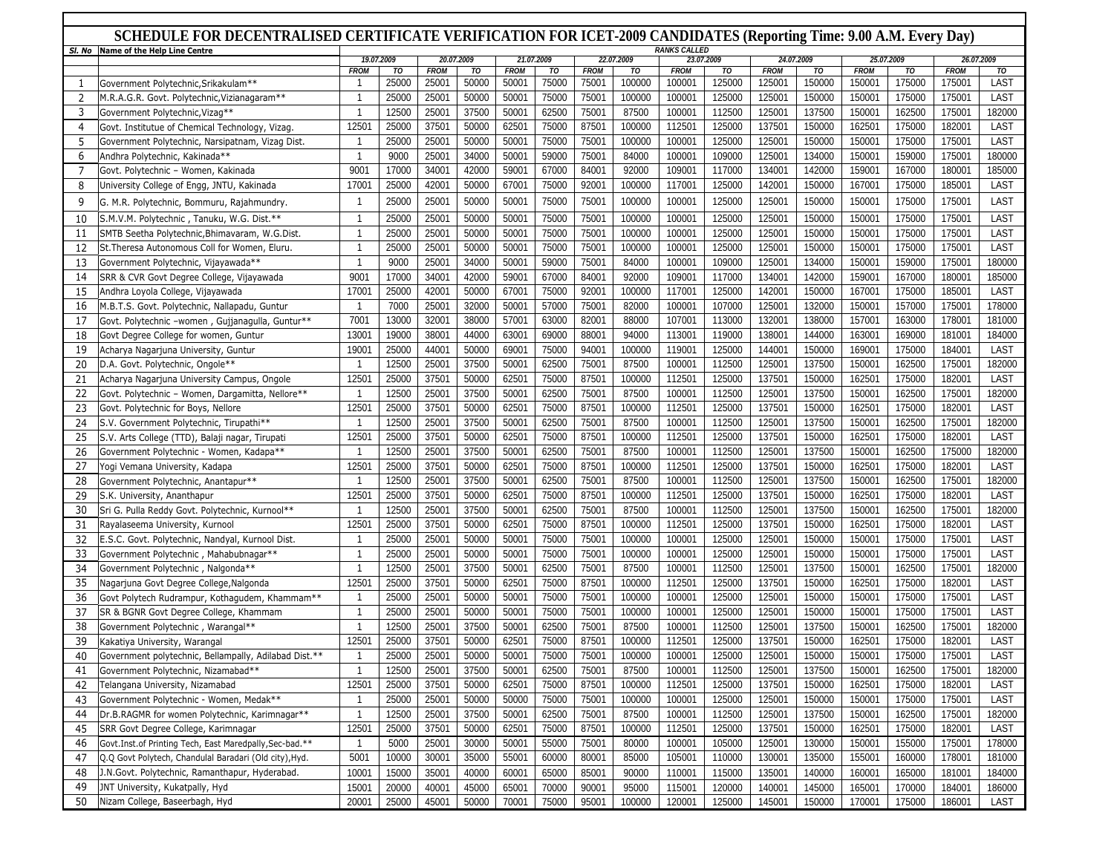# **SCHEDULE FOR DECENTRALISED CERTIFICATE VERIFICATION FOR ICET-2009 CANDIDATES (Reporting Time: 9.00 A.M. Every Day)**

| SI. No         | Name of the Help Line Centre                              | <b>RANKS CALLED</b> |       |             |            |             |            |             |            |             |            |             |            |             |        |             |            |
|----------------|-----------------------------------------------------------|---------------------|-------|-------------|------------|-------------|------------|-------------|------------|-------------|------------|-------------|------------|-------------|--------|-------------|------------|
|                |                                                           | 19.07.2009          |       |             | 20.07.2009 |             | 21.07.2009 |             | 22.07.2009 |             | 23.07.2009 |             | 24.07.2009 | 25.07.2009  |        | 26.07.2009  |            |
|                |                                                           | <b>FROM</b>         | TO    | <b>FROM</b> | TO         | <b>FROM</b> | TO         | <b>FROM</b> | TO         | <b>FROM</b> | TO         | <b>FROM</b> | TO         | <b>FROM</b> | TO     | <b>FROM</b> | TO<br>LAST |
| 1              | Government Polytechnic, Srikakulam**                      |                     | 25000 | 25001       | 50000      | 50001       | 75000      | 75001       | 100000     | 100001      | 125000     | 125001      | 150000     | 150001      | 175000 | 175001      |            |
| $\overline{2}$ | M.R.A.G.R. Govt. Polytechnic, Vizianagaram**              | $\overline{1}$      | 25000 | 25001       | 50000      | 50001       | 75000      | 75001       | 100000     | 100001      | 125000     | 125001      | 150000     | 150001      | 175000 | 175001      | LAST       |
| 3              | Government Polytechnic, Vizag**                           | $\overline{1}$      | 12500 | 25001       | 37500      | 50001       | 62500      | 75001       | 87500      | 100001      | 112500     | 125001      | 137500     | 150001      | 162500 | 175001      | 182000     |
| $\overline{4}$ | Govt. Institutue of Chemical Technology, Vizag.           | 12501               | 25000 | 37501       | 50000      | 62501       | 75000      | 87501       | 100000     | 112501      | 125000     | 137501      | 150000     | 162501      | 175000 | 182001      | LAST       |
| 5              | Government Polytechnic, Narsipatnam, Vizag Dist.          | -1                  | 25000 | 25001       | 50000      | 50001       | 75000      | 75001       | 100000     | 100001      | 125000     | 125001      | 150000     | 150001      | 175000 | 175001      | LAST       |
| 6              | Andhra Polytechnic, Kakinada**                            | $\overline{1}$      | 9000  | 25001       | 34000      | 50001       | 59000      | 75001       | 84000      | 100001      | 109000     | 125001      | 134000     | 150001      | 159000 | 175001      | 180000     |
| 7              | Govt. Polytechnic - Women, Kakinada                       | 9001                | 17000 | 34001       | 42000      | 59001       | 67000      | 84001       | 92000      | 109001      | 117000     | 134001      | 142000     | 159001      | 167000 | 180001      | 185000     |
| 8              | University College of Engg, JNTU, Kakinada                | 17001               | 25000 | 42001       | 50000      | 67001       | 75000      | 92001       | 100000     | 117001      | 125000     | 142001      | 150000     | 167001      | 175000 | 185001      | LAST       |
| 9              | G. M.R. Polytechnic, Bommuru, Rajahmundry.                | $\overline{1}$      | 25000 | 25001       | 50000      | 50001       | 75000      | 75001       | 100000     | 100001      | 125000     | 125001      | 150000     | 150001      | 175000 | 175001      | LAST       |
| 10             | S.M.V.M. Polytechnic, Tanuku, W.G. Dist.**                | $\overline{1}$      | 25000 | 25001       | 50000      | 50001       | 75000      | 75001       | 100000     | 100001      | 125000     | 125001      | 150000     | 150001      | 175000 | 175001      | LAST       |
| 11             | SMTB Seetha Polytechnic, Bhimavaram, W.G.Dist.            | $\overline{1}$      | 25000 | 25001       | 50000      | 50001       | 75000      | 75001       | 100000     | 100001      | 125000     | 125001      | 150000     | 150001      | 175000 | 175001      | LAST       |
| 12             | St. Theresa Autonomous Coll for Women, Eluru.             | -1                  | 25000 | 25001       | 50000      | 50001       | 75000      | 75001       | 100000     | 100001      | 125000     | 125001      | 150000     | 150001      | 175000 | 175001      | LAST       |
| 13             | Government Polytechnic, Vijayawada**                      | $\overline{1}$      | 9000  | 25001       | 34000      | 50001       | 59000      | 75001       | 84000      | 100001      | 109000     | 125001      | 134000     | 150001      | 159000 | 175001      | 180000     |
| 14             | SRR & CVR Govt Degree College, Vijayawada                 | 9001                | 17000 | 34001       | 42000      | 59001       | 67000      | 84001       | 92000      | 109001      | 117000     | 134001      | 142000     | 159001      | 167000 | 180001      | 185000     |
| 15             | Andhra Loyola College, Vijayawada                         | 17001               | 25000 | 42001       | 50000      | 67001       | 75000      | 92001       | 100000     | 117001      | 125000     | 142001      | 150000     | 167001      | 175000 | 185001      | LAST       |
| 16             |                                                           | $\overline{1}$      | 7000  | 25001       | 32000      | 50001       | 57000      | 75001       | 82000      | 100001      | 107000     | 125001      | 132000     | 150001      | 157000 | 175001      | 178000     |
|                | M.B.T.S. Govt. Polytechnic, Nallapadu, Guntur             | 7001                |       |             |            | 57001       |            |             |            |             |            | 132001      |            |             |        |             | 181000     |
| 17             | Govt. Polytechnic -women, Gujjanagulla, Guntur**          |                     | 13000 | 32001       | 38000      |             | 63000      | 82001       | 88000      | 107001      | 113000     |             | 138000     | 157001      | 163000 | 178001      |            |
| 18             | Govt Degree College for women, Guntur                     | 13001               | 19000 | 38001       | 44000      | 63001       | 69000      | 88001       | 94000      | 113001      | 119000     | 138001      | 144000     | 163001      | 169000 | 181001      | 184000     |
| 19             | Acharya Nagarjuna University, Guntur                      | 19001               | 25000 | 44001       | 50000      | 69001       | 75000      | 94001       | 100000     | 119001      | 125000     | 144001      | 150000     | 169001      | 175000 | 184001      | LAST       |
| 20             | D.A. Govt. Polytechnic, Ongole**                          | -1                  | 12500 | 25001       | 37500      | 50001       | 62500      | 75001       | 87500      | 100001      | 112500     | 125001      | 137500     | 150001      | 162500 | 175001      | 182000     |
| 21             | Acharya Nagarjuna University Campus, Ongole               | 12501               | 25000 | 37501       | 50000      | 62501       | 75000      | 87501       | 100000     | 112501      | 125000     | 137501      | 150000     | 162501      | 175000 | 182001      | LAST       |
| 22             | Govt. Polytechnic - Women, Dargamitta, Nellore**          | $\overline{1}$      | 12500 | 25001       | 37500      | 50001       | 62500      | 75001       | 87500      | 100001      | 112500     | 125001      | 137500     | 150001      | 162500 | 175001      | 182000     |
| 23             | Govt. Polytechnic for Boys, Nellore                       | 12501               | 25000 | 37501       | 50000      | 62501       | 75000      | 87501       | 100000     | 112501      | 125000     | 137501      | 150000     | 162501      | 175000 | 182001      | LAST       |
| 24             | S.V. Government Polytechnic, Tirupathi**                  | -1                  | 12500 | 25001       | 37500      | 50001       | 62500      | 75001       | 87500      | 100001      | 112500     | 125001      | 137500     | 150001      | 162500 | 175001      | 182000     |
| 25             | S.V. Arts College (TTD), Balaji nagar, Tirupati           | 12501               | 25000 | 37501       | 50000      | 62501       | 75000      | 87501       | 100000     | 112501      | 125000     | 137501      | 150000     | 162501      | 175000 | 182001      | LAST       |
| 26             | Government Polytechnic - Women, Kadapa**                  | $\overline{1}$      | 12500 | 25001       | 37500      | 50001       | 62500      | 75001       | 87500      | 100001      | 112500     | 125001      | 137500     | 150001      | 162500 | 175000      | 182000     |
| 27             | Yogi Vemana University, Kadapa                            | 12501               | 25000 | 37501       | 50000      | 62501       | 75000      | 87501       | 100000     | 112501      | 125000     | 137501      | 150000     | 162501      | 175000 | 182001      | LAST       |
| 28             | Government Polytechnic, Anantapur**                       | $\overline{1}$      | 12500 | 25001       | 37500      | 50001       | 62500      | 75001       | 87500      | 100001      | 112500     | 125001      | 137500     | 150001      | 162500 | 175001      | 182000     |
| 29             | S.K. University, Ananthapur                               | 12501               | 25000 | 37501       | 50000      | 62501       | 75000      | 87501       | 100000     | 112501      | 125000     | 137501      | 150000     | 162501      | 175000 | 182001      | LAST       |
| 30             | Sri G. Pulla Reddy Govt. Polytechnic, Kurnool**           | -1                  | 12500 | 25001       | 37500      | 50001       | 62500      | 75001       | 87500      | 100001      | 112500     | 125001      | 137500     | 150001      | 162500 | 175001      | 182000     |
| 31             | Rayalaseema University, Kurnool                           | 12501               | 25000 | 37501       | 50000      | 62501       | 75000      | 87501       | 100000     | 112501      | 125000     | 137501      | 150000     | 162501      | 175000 | 182001      | LAST       |
| 32             | E.S.C. Govt. Polytechnic, Nandyal, Kurnool Dist.          | $\overline{1}$      | 25000 | 25001       | 50000      | 50001       | 75000      | 75001       | 100000     | 100001      | 125000     | 125001      | 150000     | 150001      | 175000 | 175001      | LAST       |
| 33             | Government Polytechnic, Mahabubnagar**                    | $\overline{1}$      | 25000 | 25001       | 50000      | 50001       | 75000      | 75001       | 100000     | 100001      | 125000     | 125001      | 150000     | 150001      | 175000 | 175001      | LAST       |
| 34             | Government Polytechnic, Nalgonda**                        | $\overline{1}$      | 12500 | 25001       | 37500      | 50001       | 62500      | 75001       | 87500      | 100001      | 112500     | 125001      | 137500     | 150001      | 162500 | 175001      | 182000     |
| 35             | Nagarjuna Govt Degree College, Nalgonda                   | 12501               | 25000 | 37501       | 50000      | 62501       | 75000      | 87501       | 100000     | 112501      | 125000     | 137501      | 150000     | 162501      | 175000 | 182001      | LAST       |
| 36             |                                                           |                     | 25000 | 25001       | 50000      | 50001       | 75000      | 75001       | 100000     | 100001      | 125000     | 125001      | 150000     | 150001      | 175000 | 175001      | LAST       |
|                | Govt Polytech Rudrampur, Kothagudem, Khammam**            | $\overline{1}$      | 25000 | 25001       | 50000      | 50001       | 75000      | 75001       | 100000     | 100001      | 125000     | 125001      | 150000     | 150001      | 175000 | 175001      | LAST       |
| 37             | SR & BGNR Govt Degree College, Khammam                    |                     |       |             |            |             |            |             |            |             |            |             |            |             |        |             |            |
| 38             | Government Polytechnic, Warangal**                        | $\overline{1}$      | 12500 | 25001       | 37500      | 50001       | 62500      | 75001       | 87500      | 100001      | 112500     | 125001      | 137500     | 150001      | 162500 | 175001      | 182000     |
| 39             | Kakatiya University, Warangal                             | 12501               | 25000 | 37501       | 50000      | 62501       | 75000      | 87501       | 100000     | 112501      | 125000     | 137501      | 150000     | 162501      | 175000 | 182001      | LAST       |
| 40             | Government polytechnic, Bellampally, Adilabad Dist.**     | $\overline{1}$      | 25000 | 25001       | 50000      | 50001       | 75000      | 75001       | 100000     | 100001      | 125000     | 125001      | 150000     | 150001      | 175000 | 175001      | LAST       |
| 41             | Government Polytechnic, Nizamabad**                       | $\overline{1}$      | 12500 | 25001       | 37500      | 50001       | 62500      | 75001       | 87500      | 100001      | 112500     | 125001      | 137500     | 150001      | 162500 | 175001      | 182000     |
| 42             | Telangana University, Nizamabad                           | 12501               | 25000 | 37501       | 50000      | 62501       | 75000      | 87501       | 100000     | 112501      | 125000     | 137501      | 150000     | 162501      | 175000 | 182001      | LAST       |
| 43             | Government Polytechnic - Women, Medak**                   | $\overline{1}$      | 25000 | 25001       | 50000      | 50000       | 75000      | 75001       | 100000     | 100001      | 125000     | 125001      | 150000     | 150001      | 175000 | 175001      | LAST       |
| 44             | Dr.B.RAGMR for women Polytechnic, Karimnagar**            | $\overline{1}$      | 12500 | 25001       | 37500      | 50001       | 62500      | 75001       | 87500      | 100001      | 112500     | 125001      | 137500     | 150001      | 162500 | 175001      | 182000     |
| 45             | SRR Govt Degree College, Karimnagar                       | 12501               | 25000 | 37501       | 50000      | 62501       | 75000      | 87501       | 100000     | 112501      | 125000     | 137501      | 150000     | 162501      | 175000 | 182001      | LAST       |
| 46             | Govt. Inst. of Printing Tech, East Maredpally, Sec-bad.** | $\overline{1}$      | 5000  | 25001       | 30000      | 50001       | 55000      | 75001       | 80000      | 100001      | 105000     | 125001      | 130000     | 150001      | 155000 | 175001      | 178000     |
| 47             | Q.Q Govt Polytech, Chandulal Baradari (Old city), Hyd.    | 5001                | 10000 | 30001       | 35000      | 55001       | 60000      | 80001       | 85000      | 105001      | 110000     | 130001      | 135000     | 155001      | 160000 | 178001      | 181000     |
| 48             | J.N.Govt. Polytechnic, Ramanthapur, Hyderabad.            | 10001               | 15000 | 35001       | 40000      | 60001       | 65000      | 85001       | 90000      | 110001      | 115000     | 135001      | 140000     | 160001      | 165000 | 181001      | 184000     |
| 49             | JNT University, Kukatpally, Hyd                           | 15001               | 20000 | 40001       | 45000      | 65001       | 70000      | 90001       | 95000      | 115001      | 120000     | 140001      | 145000     | 165001      | 170000 | 184001      | 186000     |
| 50             | Nizam College, Baseerbagh, Hyd                            | 20001               | 25000 | 45001       | 50000      | 70001       | 75000      | 95001       | 100000     | 120001      | 125000     | 145001      | 150000     | 170001      | 175000 | 186001      | LAST       |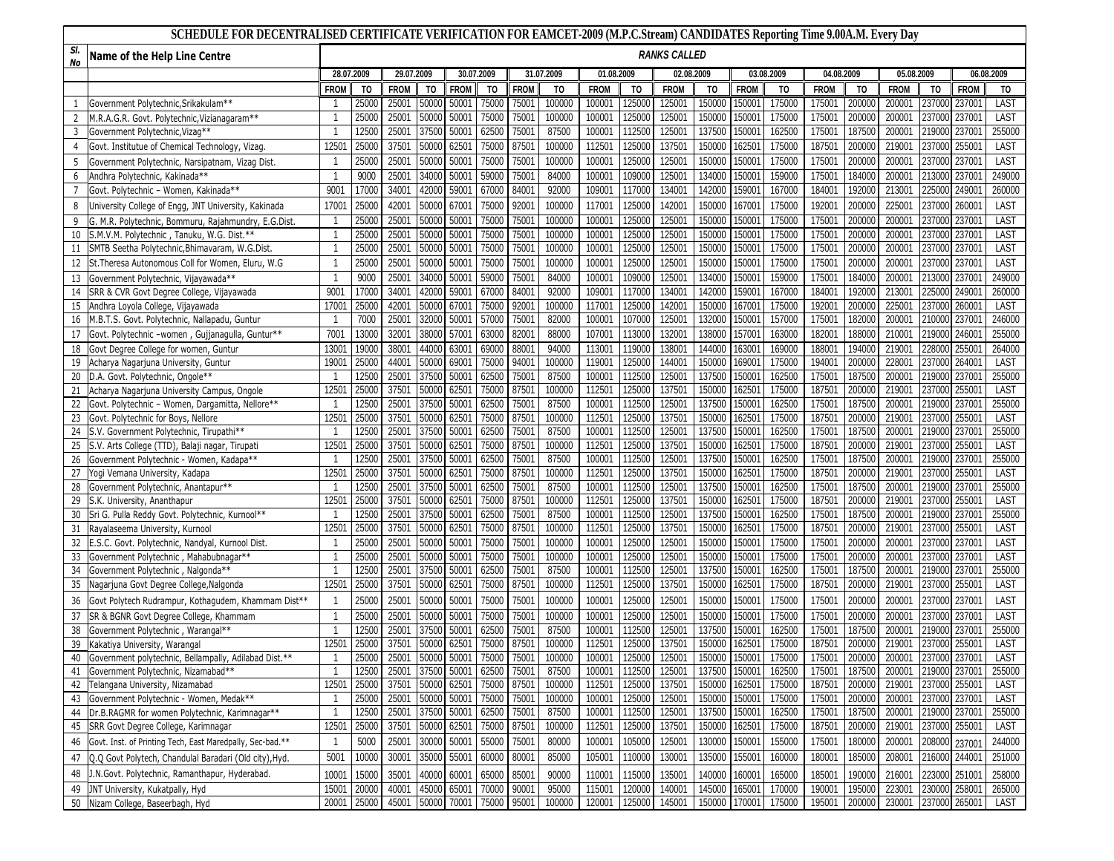# **SCHEDULE FOR DECENTRALISED CERTIFICATE VERIFICATION FOR EAMCET-2009 (M.P.C.Stream) CANDIDATES Reporting Time 9.00A.M. Every Day**

| SI.<br>No      | Name of the Help Line Centre                                 | <b>RANKS CALLED</b>      |             |             |             |                   |                               |             |                          |             |        |                    |               |             |                |             |        |             |               |             |                |
|----------------|--------------------------------------------------------------|--------------------------|-------------|-------------|-------------|-------------------|-------------------------------|-------------|--------------------------|-------------|--------|--------------------|---------------|-------------|----------------|-------------|--------|-------------|---------------|-------------|----------------|
|                |                                                              | 28.07.2009<br>29.07.2009 |             |             |             | 30.07.2009        |                               | 31.07.2009  | 01.08.2009<br>02.08.2009 |             |        | 03.08.2009         |               | 04.08.2009  |                | 05.08.2009  |        | 06.08.2009  |               |             |                |
|                |                                                              | <b>FROM</b>              | TO          | <b>FROM</b> | TO          | <b>FROM</b>       | TO                            | <b>FROM</b> | TO                       | <b>FROM</b> | TO     | <b>FROM</b>        | TO            | <b>FROM</b> | T <sub>0</sub> | <b>FROM</b> | TO     | <b>FROM</b> | TO            | <b>FROM</b> | T <sub>0</sub> |
|                | Government Polytechnic, Srikakulam**                         | -1                       | 2500        | 25001       | 5000        | 50001             | 75000                         | 75001       | 100000                   | 100001      | 12500  | 12500              | 15000         | 150001      | 175000         | 175001      | 200000 | 200001      | 237000        | 237001      | LAST           |
| $\overline{2}$ | M.R.A.G.R. Govt. Polytechnic, Vizianagaram**                 | -1                       | 25000       | 25001       | 5000        | 50001             | 75000                         | 75001       | 100000                   | 100001      | 125000 | 125001             | 150000        | 150001      | 175000         | 175001      | 200000 | 200001      | 237000        | 237001      | LAST           |
| $\overline{3}$ | Government Polytechnic, Vizag**                              |                          | 1250        | 25001       | 3750        | 50001             | 62500                         | 75001       | 87500                    | 100001      | 112500 | 12500              | 137500        | 150001      | 162500         | 175001      | 187500 | 20000       | 219000        | 23700       | 255000         |
| 4              | Govt. Institutue of Chemical Technology, Vizag.              | $1250^{\circ}$           | 2500        | 37501       | 50000       | 62501             | 75000                         | 87501       | 100000                   | 112501      | 125000 | 13750              | 150000        | 162501      | 175000         | 187501      | 200000 | 21900       | 237000        | 255001      | LAST           |
| 5              | Government Polytechnic, Narsipatnam, Vizag Dist.             |                          | 2500        | 25001       | 5000        | 50001             | 75000                         | 75001       | 100000                   | 100001      | 12500  | 12500              | 150000        | 150001      | 175000         | 175001      | 200000 | 20000       | 237000        | 23700       | LAST           |
| 6              | Andhra Polytechnic, Kakinada**                               | $\overline{1}$           | 9000        | 25001       | 3400        | 50001             | 59000                         | 75001       | 84000                    | 100001      | 10900  | 12500              | 13400         | 150001      | 159000         | 175001      | 18400  | 20000       | 213000        | 23700       | 249000         |
|                | Govt. Polytechnic - Women, Kakinada**                        | 9001                     | 1700        | 34001       | 4200        | 59001             | 67000                         | 84001       | 92000                    | 109001      | 11700  | 134001             | 142000        | 159001      | 167000         | 184001      | 192000 | 213001      | 225000        | 249001      | 260000         |
| 8              | Jniversity College of Engg, JNT University, Kakinada         | 17001                    | 2500        | 42001       | 50000       | 67001             | 75000                         | 92001       | 100000                   | 117001      | 125000 | 14200 <sup>-</sup> | 150000        | 167001      | 175000         | 192001      | 200000 | 225001      | 237000        | 260001      | LAST           |
|                | G. M.R. Polytechnic, Bommuru, Rajahmundry, E.G.Dist.         |                          | 25000       | 25001       | 5000        | 50001             | 75000                         | 75001       | 100000                   | 100001      | 12500  | 125001             | 150000        | 150001      | 175000         | 175001      | 200000 | 200001      | 237000        | 237001      | LAST           |
| 10             | S.M.V.M. Polytechnic, Tanuku, W.G. Dist.**                   | $\overline{1}$           | 2500        | 25001       | 5000        | 50001             | 75000                         | 75001       | 100000                   | 100001      | 125000 | 125001             | 150000        | 150001      | 175000         | 175001      | 20000  | 20000       | 237000        | 237001      | LAST           |
| 11             | SMTB Seetha Polytechnic, Bhimavaram, W.G.Dist                | $\overline{1}$           | 2500        | 25001       | 5000        | 50001             | 75000                         | 75001       | 100000                   | 100001      | 125000 | 125001             | 150000        | 150001      | 175000         | 175001      | 200000 | 20000       | 237000        | 237001      | LAST           |
| 12             | St.Theresa Autonomous Coll for Women, Eluru, W.G             | $\overline{\mathbf{1}}$  | 2500        | 25001       | 5000        | 50001             | 75000                         | 75001       | 100000                   | 100001      | 125000 | 125001             | 150000        | 150001      | 175000         | 175001      | 200000 | 200001      | 237000        | 237001      | LAST           |
| 13             | Government Polytechnic, Vijayawada**                         | $\overline{\mathbf{1}}$  | 9000        | 25001       | 34000       | 50001             | 59000                         | 75001       | 84000                    | 100001      | 109000 | 125001             | 134000        | 150001      | 159000         | 175001      | 184000 | 200001      | 213000        | 237001      | 249000         |
| 14             | SRR & CVR Govt Degree College, Vijayawada                    | 9001                     | 1700        | 34001       | 4200        | 59001             | 67000                         | 84001       | 92000                    | 109001      | 11700  | 134001             | 142000        | 159001      | 167000         | 184001      | 192000 | 21300       | 225000        | 249001      | 260000         |
| 15             | Andhra Loyola College, Vijayawada                            | 1700                     | 25000       | 42001       | 50000       | 67001             | 75000                         | 92001       | 100000                   | 117001      | 125000 | 142001             | 150000        | 167001      | 175000         | 192001      | 200000 | 22500       | 237000        | 260001      | LAST           |
| 16             | M.B.T.S. Govt. Polytechnic, Nallapadu, Guntur                | $\overline{\mathbf{1}}$  | 7000        | 25001       | 32000       | 50001             | 57000                         | 75001       | 82000                    | 100001      | 107000 | 125001             | 132000        | 150001      | 157000         | 175001      | 182000 | 20000       | 210000        | 237001      | 246000         |
| 17             | Govt. Polytechnic -women, Gujjanagulla, Guntur**             | 7001                     | 1300        | 32001       | 3800        | 57001             | 63000                         | 82001       | 88000                    | 107001      | 113000 | 13200              | 138000        | 157001      | 163000         | 182001      | 188000 | 21000       | 219000        | 246001      | 255000         |
| 18             | Govt Degree College for women, Guntur                        | 1300                     | 1900        | 38001       | 44000       | 63001             | 69000                         | 88001       | 94000                    | 113001      | 119000 | 138001             | 144000        | 163001      | 169000         | 188001      | 194000 | 219001      | 228000        | 255001      | 264000         |
| 19             | Acharya Nagarjuna University, Guntur                         | 19001                    | 25000       | 44001       | 50000       | 69001             | 75000                         | 94001       | 100000                   | 119001      | 125000 | 144001             | 150000        | 169001      | 175000         | 194001      | 200000 | 228001      | 237000        | 264001      | LAST           |
| 20             | D.A. Govt. Polytechnic, Ongole**                             | $\overline{\mathbf{1}}$  | 12500       | 25001       | 3750        | 50001             | 62500                         | 75001       | 87500                    | 100001      | 112500 | 125001             | 137500        | 150001      | 162500         | 175001      | 187500 | 20000       | 219000        | 23700       | 255000         |
| 21             | Acharya Nagarjuna University Campus, Ongole                  | 12501                    | 25000       | 37501       | 50000       | 62501             | 75000                         | 87501       | 100000                   | 112501      | 125000 | 137501             | 150000        | 162501      | 175000         | 187501      | 200000 | 219001      | 237000        | 255001      | LAST           |
| 22             | Govt. Polytechnic - Women, Dargamitta, Nellore**             |                          | 12500       | 25001       | 37500       | 50001             | 62500                         | 75001       | 87500                    | 100001      | 112500 | 125001             | 137500        | 150001      | 162500         | 175001      | 187500 | 20000       | 219000        | 237001      | 255000         |
| 23             | Govt. Polytechnic for Boys, Nellore                          | 12501                    | 25000       | 37501       | 5000        | 62501             | 75000                         | 87501       | 100000                   | 112501      | 125000 | 137501             | 150000        | 162501      | 175000         | 187501      | 200000 | 219001      | 237000        | 255001      | LAST           |
| 24             | S.V. Government Polytechnic, Tirupathi**                     |                          | 12500       | 25001       | 37500       | 50001             | 62500                         | 75001       | 87500                    | 100001      | 112500 | 125001             | 137500        | 150001      | 162500         | 175001      | 187500 | 20000       | 219000        | 237001      | 255000         |
| 25             | S.V. Arts College (TTD), Balaji nagar, Tirupati              | 12501                    | 25000       | 37501       | 5000        | 62501             | 75000                         | 87501       | 100000                   | 112501      | 125000 | 137501             | 150000        | 162501      | 175000         | 187501      | 200000 | 21900       | 237000        | 255001      | LAST           |
| 26             | Government Polytechnic - Women, Kadapa**                     | -1                       | 12500       | 25001       | 37500       | 50001             | 62500                         | 75001       | 87500                    | 100001      | 112500 | 125001             | 137500        | 150001      | 162500         | 175001      | 187500 | 200001      | 219000        | 237001      | 255000         |
| 27             | Yogi Vemana University, Kadapa                               | 12501                    | 25000       | 37501       | 50000       | 62501             | 75000                         | 87501       | 100000                   | 112501      | 125000 | 137501             | 150000        | 162501      | 175000         | 187501      | 200000 | 219001      | 237000        | 255001      | LAST           |
| 28             | Government Polytechnic, Anantapur**                          |                          | 1250        | 25001       | 3750        | 50001             | 62500                         | 75001       | 87500                    | 100001      | 112500 | 125001             | 137500        | 150001      | 162500         | 175001      | 187500 | 200001      | 219000        | 237001      | 255000         |
| 29             | S.K. University, Ananthapur                                  | 12501                    | 25000       | 37501       | 5000        | 62501             | 75000                         | 87501       | 100000                   | 112501      | 125000 | 137501             | 150000        | 162501      | 175000         | 187501      | 200000 | 219001      | 237000        | 255001      | LAST           |
| 30             | Sri G. Pulla Reddy Govt. Polytechnic, Kurnool**              | -1                       | 12500       | 25001       | 37500       | 50001             | 62500                         | 75001       | 87500                    | 100001      | 112500 | 125001             | 137500        | 150001      | 162500         | 175001      | 187500 | 200001      | 219000        | 237001      | 255000         |
| 31             | Rayalaseema University, Kurnool                              | 12501                    | 2500        | 37501       | 5000        | 62501             | 75000                         | 87501       | 100000                   | 112501      | 12500  | 137501             | 150000        | 162501      | 175000         | 187501      | 200000 | 21900       | 237000        | 255001      | LAST           |
| 32             | E.S.C. Govt. Polytechnic, Nandyal, Kurnool Dist.             | $\overline{\mathbf{1}}$  | 25000       | 25001       | 50000       | 50001             | 75000                         | 75001       | 100000                   | 100001      | 125000 | 125001             | 150000        | 150001      | 175000         | 175001      | 200000 | 200001      | 237000        | 237001      | LAST           |
| 33             | Government Polytechnic, Mahabubnagar**                       | $\overline{1}$           | 25000       | 25001       | 5000        | 50001             | 75000                         | 75001       | 100000                   | 100001      | 125000 | 125001             | 150000        | 150001      | 175000         | 175001      | 200000 | 200001      | 237000        | 237001      | LAST           |
| 34             | Government Polytechnic, Nalgonda**                           | 1                        | 1250        | 25001       | 3750        | 50001             | 62500                         | 75001       | 87500                    | 100001      | 112500 | 12500              | 137500        | 150001      | 162500         | 175001      | 187500 | 20000       | 219000        | 23700       | 255000         |
| 35             | Nagarjuna Govt Degree College, Nalgonda                      | 12501                    | 2500        | 37501       | 5000        | 62501             | 75000                         | 87501       | 100000                   | 112501      | 125000 | 137501             | 150000        | 162501      | 175000         | 187501      | 200000 | 219001      | 237000        | 255001      | LAST           |
| 36             | Govt Polytech Rudrampur, Kothagudem, Khammam Dist**          | $\overline{1}$           | 25000       | 25001       | 50000       | 50001             | 75000                         | 75001       | 100000                   | 100001      | 125000 | 125001             | 150000        | 150001      | 175000         | 175001      | 200000 | 200001      | 237000        | 237001      | LAST           |
| 37             | SR & BGNR Govt Degree College, Khammam                       | -1                       | 25000       | 25001       | 50000       | 50001             | 75000                         | 75001       | 100000                   | 100001      | 12500  | 125001             | 150000        | 150001      | 175000         | 175001      | 200000 | 200001      | 237000        | 237001      | LAST           |
| 38             | Government Polytechnic, Warangal**                           |                          | 1250        | 25001       | 3750        | 50001             | 62500                         | 75001       | 87500                    | 100001      | 112500 | 125001             | 137500        | 150001      | 162500         | 175001      | 18750  | 200001      | 219000        | 237001      | 255000         |
| 39             | Kakatiya University, Warangal                                | 12501                    | 25000       | 37501       | 50000       | 62501             | 75000                         | 87501       | 100000                   | 112501      | 125000 | 137501             | 150000        | 162501      | 175000         | 187501      | 200000 | 219001      | 237000        | 255001      | LAST           |
| 40             | Government polytechnic, Bellampally, Adilabad Dist.**        |                          | 25000       | 25001       | 50000       | 50001             | 75000                         | 75001       | 100000                   | 100001      | 125000 | 125001             | 150000        | 150001      | 175000         | 175001      | 200000 | 200001      | 237000        | 237001      | LAST           |
| 41             | Government Polytechnic, Nizamabad**                          | $\overline{1}$           | 12500       | 25001       | 37500       | 50001             | 62500                         | 75001       | 87500                    | 100001      | 112500 | 125001             | 137500        | 150001      | 162500         | 175001      | 187500 | 200001      | 219000        | 237001      | 255000         |
|                | Telangana University, Nizamabad                              | 12501                    |             | 25000 37501 |             |                   | 50000 62501 75000 87501       |             | 100000                   | 112501      | 125000 | 137501             | 150000 162501 |             | 175000         | 187501      | 200000 | 219001      | 237000 255001 |             | LAST           |
| 43             | Government Polytechnic - Women, Medak**                      | $\mathbf{1}$             | 25000       | 25001       | 50000 50001 |                   | 75000                         | 75001       | 100000                   | 100001      | 125000 | 125001             | 150000 150001 |             | 175000         | 175001      | 200000 | 200001      | 237000 237001 |             | LAST           |
| 44             | Dr.B.RAGMR for women Polytechnic, Karimnagar**               | $\overline{1}$           | 12500       | 25001       |             | 37500 50001 62500 |                               | 75001       | 87500                    | 100001      | 112500 | 125001             | 137500 150001 |             | 162500         | 175001      | 187500 | 200001      | 219000 237001 |             | 255000         |
|                | 45   SRR Govt Degree College, Karimnagar                     | 12501                    | 25000       | 37501       | 50000 62501 |                   | 75000                         | 87501       | 100000                   | 112501      | 125000 | 137501             | 150000 162501 |             | 175000         | 187501      | 200000 | 219001      | 237000 255001 |             | LAST           |
|                | 46 Govt. Inst. of Printing Tech, East Maredpally, Sec-bad.** | $\overline{1}$           | 5000        | 25001       | 30000 50001 |                   | 55000                         | 75001       | 80000                    | 100001      | 105000 | 125001             | 130000 150001 |             | 155000         | 175001      | 180000 | 200001      | 208000 237001 |             | 244000         |
| 47             | Q.Q Govt Polytech, Chandulal Baradari (Old city), Hyd.       | 5001                     | 10000       | 30001       | 35000 55001 |                   | 60000                         | 80001       | 85000                    | 105001      | 110000 | 130001             | 135000 155001 |             | 160000         | 180001      | 185000 | 208001      | 216000 244001 |             | 251000         |
| 48             | J.N.Govt. Polytechnic, Ramanthapur, Hyderabad.               | 10001                    | 15000       | 35001       | 40000 60001 |                   | 65000                         | 85001       | 90000                    | 110001      | 115000 | 135001             | 140000 160001 |             | 165000         | 185001      | 190000 | 216001      | 223000 251001 |             | 258000         |
| 49             | JNT University, Kukatpally, Hyd                              | 15001                    | 20000       | 40001       |             | 45000 65001       | 70000                         | 90001       | 95000                    | 115001      | 120000 | 140001             | 145000 165001 |             | 170000         | 190001      | 195000 | 223001      | 230000 258001 |             | 265000         |
|                | 50 Nizam College, Baseerbagh, Hyd                            |                          | 20001 25000 |             |             |                   | 45001 50000 70001 75000 95001 |             | 100000                   | 120001      | 125000 | 145001             | 150000 170001 |             | 175000         | 195001      | 200000 | 230001      | 237000 265001 |             | LAST           |